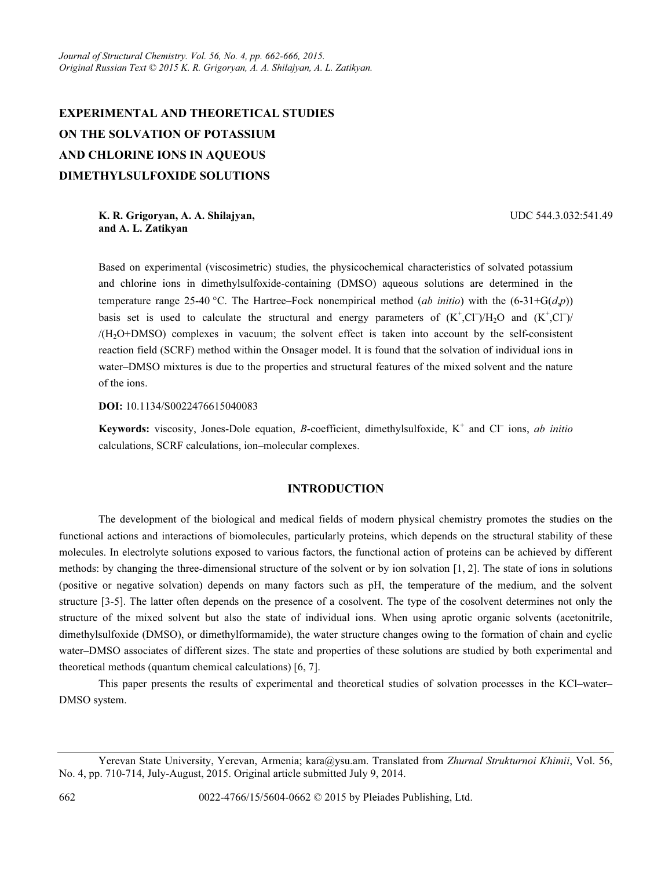# EXPERIMENTAL AND THEORETICAL STUDIES ON THE SOLVATION OF POTASSIUM AND CHLORINE IONS IN AQUEOUS DIMETHYLSULFOXIDE SOLUTIONS

K. R. Grigoryan, A. A. Shilajyan, and A. L. Zatikyan

UDC 544.3.032:541.49

Based on experimental (viscosimetric) studies, the physicochemical characteristics of solvated potassium and chlorine ions in dimethylsulfoxide-containing (DMSO) aqueous solutions are determined in the temperature range 25-40 °C. The Hartree–Fock nonempirical method (*ab initio*) with the (6-31+G(*d,p*)) basis set is used to calculate the structural and energy parameters of  $(K^+, C\Gamma)/H_2O$  and  $(K^+, C\Gamma)/H_2O$  $/(H<sub>2</sub>O+DMSO)$  complexes in vacuum; the solvent effect is taken into account by the self-consistent reaction field (SCRF) method within the Onsager model. It is found that the solvation of individual ions in water–DMSO mixtures is due to the properties and structural features of the mixed solvent and the nature of the ions.

DOI: 10.1134/S0022476615040083

Keywords: viscosity, Jones-Dole equation, B-coefficient, dimethylsulfoxide,  $K^+$  and  $Cl^-$  ions, ab initio calculations, SCRF calculations, ion–molecular complexes.

## INTRODUCTION

The development of the biological and medical fields of modern physical chemistry promotes the studies on the functional actions and interactions of biomolecules, particularly proteins, which depends on the structural stability of these molecules. In electrolyte solutions exposed to various factors, the functional action of proteins can be achieved by different methods: by changing the three-dimensional structure of the solvent or by ion solvation [1, 2]. The state of ions in solutions (positive or negative solvation) depends on many factors such as pH, the temperature of the medium, and the solvent structure [3-5]. The latter often depends on the presence of a cosolvent. The type of the cosolvent determines not only the structure of the mixed solvent but also the state of individual ions. When using aprotic organic solvents (acetonitrile, dimethylsulfoxide (DMSO), or dimethylformamide), the water structure changes owing to the formation of chain and cyclic water–DMSO associates of different sizes. The state and properties of these solutions are studied by both experimental and theoretical methods (quantum chemical calculations) [6, 7].

This paper presents the results of experimental and theoretical studies of solvation processes in the KCl–water– DMSO system.

Yerevan State University, Yerevan, Armenia; kara@ysu.am. Translated from Zhurnal Strukturnoi Khimii, Vol. 56, No. 4, pp. 710-714, July-August, 2015. Original article submitted July 9, 2014.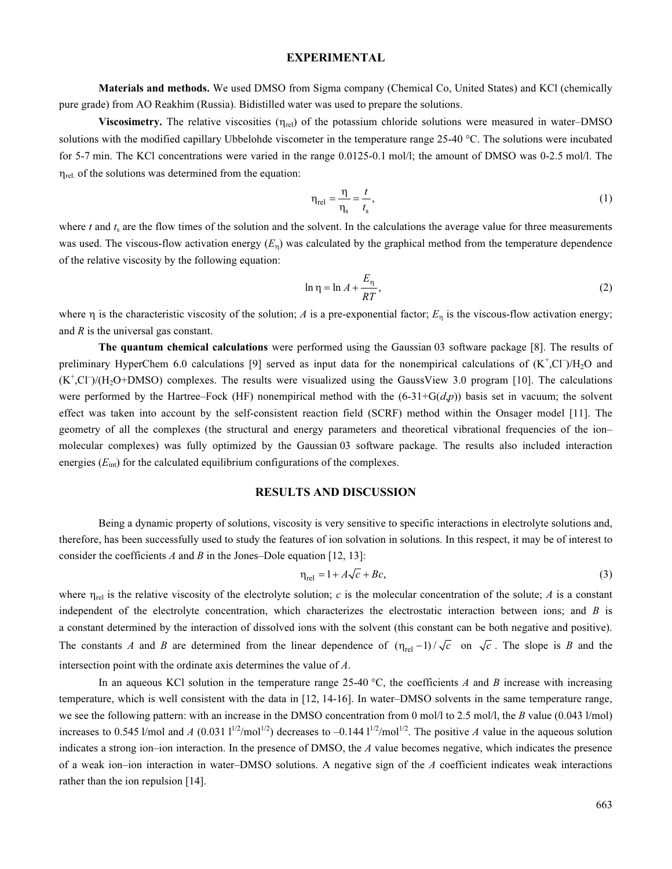#### EXPERIMENTAL

Materials and methods. We used DMSO from Sigma company (Chemical Сo, United States) and KCl (chemically pure grade) from AO Reakhim (Russia). Bidistilled water was used to prepare the solutions.

Viscosimetry. The relative viscosities  $(\eta_{rel})$  of the potassium chloride solutions were measured in water–DMSO solutions with the modified capillary Ubbelohde viscometer in the temperature range 25-40 °C. The solutions were incubated for 5-7 min. The KCl concentrations were varied in the range 0.0125-0.1 mol/l; the amount of DMSO was 0-2.5 mol/l. The  $\eta_{rel.}$  of the solutions was determined from the equation:

$$
\eta_{\text{rel}} = \frac{\eta}{\eta_{\text{s}}} = \frac{t}{t_{\text{s}}},\tag{1}
$$

where  $t$  and  $t_s$  are the flow times of the solution and the solvent. In the calculations the average value for three measurements was used. The viscous-flow activation energy  $(E_n)$  was calculated by the graphical method from the temperature dependence of the relative viscosity by the following equation:

$$
\ln \eta = \ln A + \frac{E_{\eta}}{RT},\tag{2}
$$

where  $\eta$  is the characteristic viscosity of the solution; A is a pre-exponential factor;  $E_n$  is the viscous-flow activation energy; and  $R$  is the universal gas constant.

The quantum chemical calculations were performed using the Gaussian 03 software package [8]. The results of preliminary HyperChem 6.0 calculations [9] served as input data for the nonempirical calculations of  $(K^+$ ,Cl<sup>-</sup>)/H<sub>2</sub>O and  $(K^+$ ,Cl<sup>-</sup>)/(H<sub>2</sub>O+DMSO) complexes. The results were visualized using the GaussView 3.0 program [10]. The calculations were performed by the Hartree–Fock (HF) nonempirical method with the  $(6-31+G(d,p))$  basis set in vacuum; the solvent effect was taken into account by the self-consistent reaction field (SCRF) method within the Onsager model [11]. The geometry of all the complexes (the structural and energy parameters and theoretical vibrational frequencies of the ion– molecular complexes) was fully optimized by the Gaussian 03 software package. The results also included interaction energies  $(E_{int})$  for the calculated equilibrium configurations of the complexes.

#### RESULTS AND DISCUSSION

Being a dynamic property of solutions, viscosity is very sensitive to specific interactions in electrolyte solutions and, therefore, has been successfully used to study the features of ion solvation in solutions. In this respect, it may be of interest to consider the coefficients A and B in the Jones–Dole equation [12, 13]:

$$
\eta_{\text{rel}} = 1 + A\sqrt{c} + Bc,\tag{3}
$$

where  $\eta_{rel}$  is the relative viscosity of the electrolyte solution; c is the molecular concentration of the solute; A is a constant independent of the electrolyte concentration, which characterizes the electrostatic interaction between ions; and  $B$  is a constant determined by the interaction of dissolved ions with the solvent (this constant can be both negative and positive). The constants A and B are determined from the linear dependence of  $(\eta_{rel} - 1)/\sqrt{c}$  on  $\sqrt{c}$ . The slope is B and the intersection point with the ordinate axis determines the value of А.

In an aqueous KCl solution in the temperature range 25-40  $^{\circ}$ C, the coefficients A and B increase with increasing temperature, which is well consistent with the data in [12, 14-16]. In water–DMSO solvents in the same temperature range, we see the following pattern: with an increase in the DMSO concentration from 0 mol/l to 2.5 mol/l, the B value (0.043 l/mol) increases to 0.545 l/mol and A (0.031  $1^{1/2}$ /mol<sup>1/2</sup>) decreases to -0.144  $1^{1/2}$ /mol<sup>1/2</sup>. The positive A value in the aqueous solution indicates a strong ion–ion interaction. In the presence of DMSO, the  $A$  value becomes negative, which indicates the presence of a weak ion–ion interaction in water–DMSO solutions. A negative sign of the  $A$  coefficient indicates weak interactions rather than the ion repulsion [14].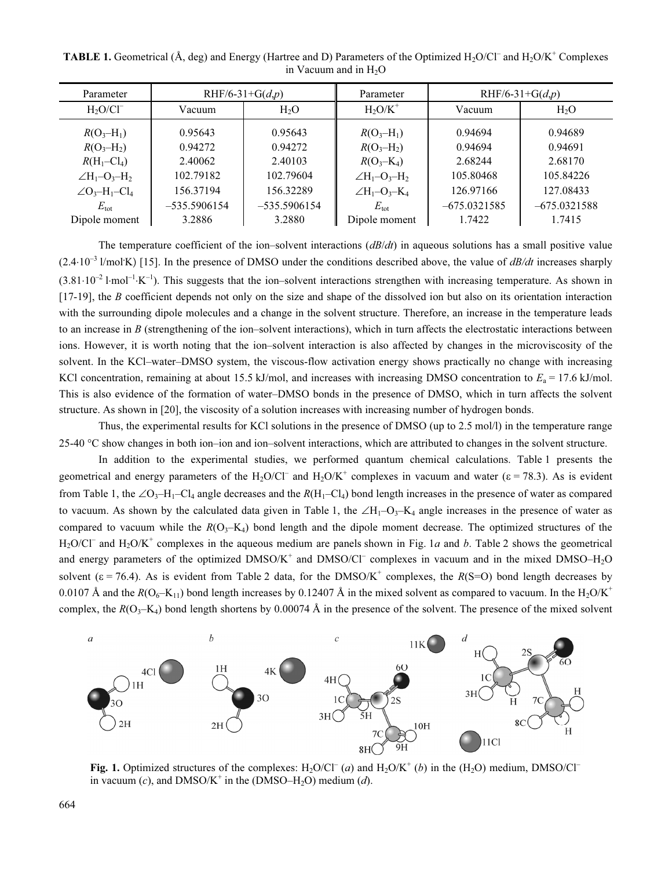| Parameter                                                | RHF/6-31+G( $d,p$ ) |                | Parameter                | RHF/6-31+G( $d,p$ ) |                  |
|----------------------------------------------------------|---------------------|----------------|--------------------------|---------------------|------------------|
| $H2O/CI-$                                                | Vacuum              | $H_2O$         | $H_2O/K^+$               | Vacuum              | H <sub>2</sub> O |
| $R(O_3-H_1)$                                             | 0.95643             | 0.95643        | $R(O_3-H_1)$             | 0.94694             | 0.94689          |
| $R(O_3-H_2)$                                             | 0.94272             | 0.94272        | $R(O_3-H_2)$             | 0.94694             | 0.94691          |
| $R(H_1 - Cl_4)$                                          | 2.40062             | 2.40103        | $R(O_3-K_4)$             | 2.68244             | 2.68170          |
| $\angle H_1 - O_3 - H_2$                                 | 102.79182           | 102.79604      | $\angle H_1 - O_3 - H_2$ | 105.80468           | 105.84226        |
| $\angle$ O <sub>3</sub> -H <sub>1</sub> -Cl <sub>4</sub> | 156.37194           | 156.32289      | $\angle H_1 - O_3 - K_4$ | 126.97166           | 127.08433        |
| $E_{\rm tot}$                                            | $-535.5906154$      | $-535.5906154$ | $E_{\rm tot}$            | $-675.0321585$      | $-675.0321588$   |
| Dipole moment                                            | 3.2886              | 3.2880         | Dipole moment            | 1.7422              | 1.7415           |

**TABLE 1.** Geometrical ( $\AA$ , deg) and Energy (Hartree and D) Parameters of the Optimized  $H_2O/C\Gamma$  and  $H_2O/K^+$  Complexes in Vacuum and in  $H_2O$ 

The temperature coefficient of the ion–solvent interactions  $\left(B/dt\right)$  in aqueous solutions has a small positive value  $(2.4·10<sup>-3</sup>$  l/mol K) [15]. In the presence of DMSO under the conditions described above, the value of  $dB/dt$  increases sharply  $(3.81 \cdot 10^{-2} \text{1-mol}^{-1} \cdot \text{K}^{-1})$ . This suggests that the ion–solvent interactions strengthen with increasing temperature. As shown in  $[17-19]$ , the B coefficient depends not only on the size and shape of the dissolved ion but also on its orientation interaction with the surrounding dipole molecules and a change in the solvent structure. Therefore, an increase in the temperature leads to an increase in  $B$  (strengthening of the ion–solvent interactions), which in turn affects the electrostatic interactions between ions. However, it is worth noting that the ion–solvent interaction is also affected by changes in the microviscosity of the solvent. In the KCl–water–DMSO system, the viscous-flow activation energy shows practically no change with increasing KCl concentration, remaining at about 15.5 kJ/mol, and increases with increasing DMSO concentration to  $E_a = 17.6$  kJ/mol. This is also evidence of the formation of water–DMSO bonds in the presence of DMSO, which in turn affects the solvent structure. As shown in [20], the viscosity of a solution increases with increasing number of hydrogen bonds.

Thus, the experimental results for KCl solutions in the presence of DMSO (up to 2.5 mol/l) in the temperature range 25-40 °C show changes in both ion–ion and ion–solvent interactions, which are attributed to changes in the solvent structure.

In addition to the experimental studies, we performed quantum chemical calculations. Table 1 presents the geometrical and energy parameters of the H<sub>2</sub>O/Cl<sup>-</sup> and H<sub>2</sub>O/K<sup>+</sup> complexes in vacuum and water ( $\varepsilon$  = 78.3). As is evident from Table 1, the ∠O<sub>3</sub>–H<sub>1</sub>–Cl<sub>4</sub> angle decreases and the  $R(H_1–Cl_4)$  bond length increases in the presence of water as compared to vacuum. As shown by the calculated data given in Table 1, the ∠H<sub>1</sub>–O<sub>3</sub>–K<sub>4</sub> angle increases in the presence of water as compared to vacuum while the  $R(O_3-K_4)$  bond length and the dipole moment decrease. The optimized structures of the  $H_2O/CI^-$  and  $H_2O/K^+$  complexes in the aqueous medium are panels shown in Fig. 1a and b. Table 2 shows the geometrical and energy parameters of the optimized  $DMSO/K^+$  and  $DMSO/CI^-$  complexes in vacuum and in the mixed  $DMSO-H_2O$ solvent ( $\varepsilon$  = 76.4). As is evident from Table 2 data, for the DMSO/K<sup>+</sup> complexes, the R(S=O) bond length decreases by 0.0107 Å and the  $R(O_6-K_{11})$  bond length increases by 0.12407 Å in the mixed solvent as compared to vacuum. In the H<sub>2</sub>O/K<sup>+</sup> complex, the  $R(O_3-K_4)$  bond length shortens by 0.00074 Å in the presence of the solvent. The presence of the mixed solvent



Fig. 1. Optimized structures of the complexes:  $H_2O/CI^-(a)$  and  $H_2O/K^+(b)$  in the  $(H_2O)$  medium, DMSO/Cl<sup>-</sup> in vacuum (c), and DMSO/K<sup>+</sup> in the (DMSO–H<sub>2</sub>O) medium (d).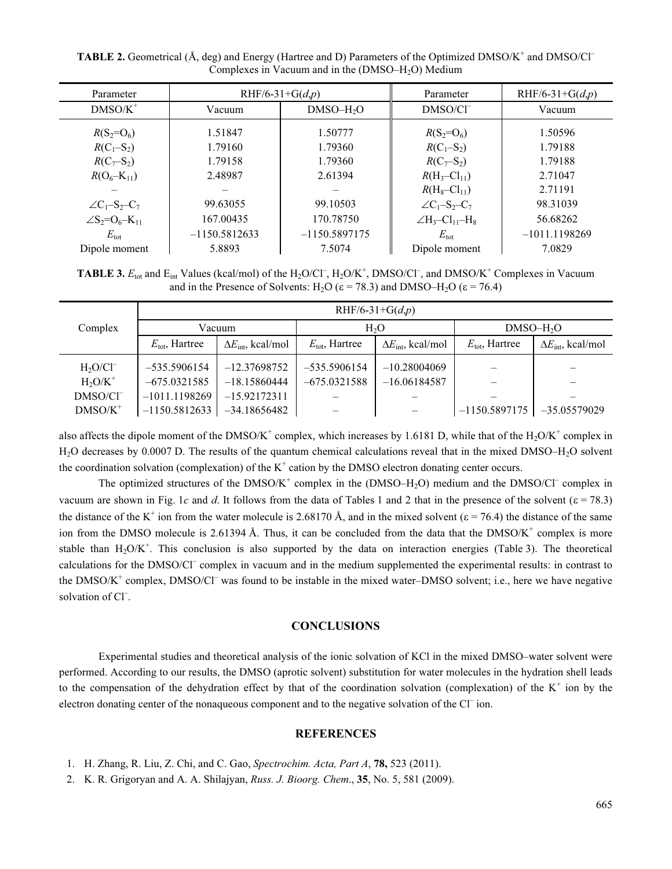**TABLE 2.** Geometrical ( $\AA$ , deg) and Energy (Hartree and D) Parameters of the Optimized DMSO/K<sup>+</sup> and DMSO/Cl<sup>-</sup> Complexes in Vacuum and in the  $(DMSO-H<sub>2</sub>O)$  Medium

| Parameter                   | RHF/6-31+G( $d,p$ ) |                 | Parameter                    | RHF/6-31+G( $d,p$ ) |  |
|-----------------------------|---------------------|-----------------|------------------------------|---------------------|--|
| $DMSO/K^+$                  | Vacuum              | $DMSO-H2O$      | DMSO/Cl <sup>-</sup>         | Vacuum              |  |
| $R(S_2=O_6)$                | 1.51847             | 1.50777         | $R(S_2=O_6)$                 | 1.50596             |  |
| $R(C_1-S_2)$                | 1.79160             | 1.79360         | $R(C_1-S_2)$                 | 1.79188             |  |
| $R(C_7 - S_2)$              | 1.79158             | 1.79360         | $R(C_7 - S_2)$               | 1.79188             |  |
| $R(O_6-K_{11})$             | 2.48987             | 2.61394         | $R(H_3 - Cl_{11})$           | 2.71047             |  |
|                             |                     |                 | $R(H_8 - Cl_{11})$           | 2.71191             |  |
| $\angle C_1-S_2-C_7$        | 99.63055            | 99.10503        | $\angle C_1-S_2-C_7$         | 98.31039            |  |
| $\angle S_2 = O_6 - K_{11}$ | 167.00435           | 170.78750       | $\angle H_3 - Cl_{11} - H_8$ | 56.68262            |  |
| $E_{\rm tot}$               | $-1150.5812633$     | $-1150.5897175$ | $E_{\rm tot}$                | $-1011.1198269$     |  |
| Dipole moment               | 5.8893              | 7.5074          | Dipole moment                | 7.0829              |  |

**TABLE 3.**  $E_{\text{tot}}$  and  $E_{\text{int}}$  Values (kcal/mol) of the H<sub>2</sub>O/Cl<sup>-</sup>, H<sub>2</sub>O/K<sup>+</sup>, DMSO/Cl<sup>-</sup>, and DMSO/K<sup>+</sup> Complexes in Vacuum and in the Presence of Solvents: H<sub>2</sub>O ( $\varepsilon$  = 78.3) and DMSO–H<sub>2</sub>O ( $\varepsilon$  = 76.4)

|                      | RHF/6-31+G( $d,p$ )        |                                    |                            |                                    |                            |                                    |  |
|----------------------|----------------------------|------------------------------------|----------------------------|------------------------------------|----------------------------|------------------------------------|--|
| Complex              | Vacuum                     |                                    | H <sub>2</sub> O           |                                    | $DMSO-H2O$                 |                                    |  |
|                      | $E_{\text{tot}}$ , Hartree | $\Delta E_{\text{int}}$ , kcal/mol | $E_{\text{tot}}$ , Hartree | $\Delta E_{\text{int}}$ , kcal/mol | $E_{\text{tot}}$ , Hartree | $\Delta E_{\text{int}}$ , kcal/mol |  |
| $H2O/CI-$            | $-535.5906154$             | $-12.37698752$                     | $-535.5906154$             | $-10.28004069$                     |                            |                                    |  |
| $H_2O/K^+$           | $-675.0321585$             | $-18.15860444$                     | $-675.0321588$             | $-16.06184587$                     |                            |                                    |  |
| DMSO/CI <sup>-</sup> | $-1011.1198269$            | $-15.92172311$                     |                            |                                    |                            |                                    |  |
| $DMSO/K^+$           | $-1150.5812633$            | $-34.18656482$                     |                            |                                    | $-1150.5897175$            | $-35.05579029$                     |  |

also affects the dipole moment of the DMSO/K<sup>+</sup> complex, which increases by 1.6181 D, while that of the  $H_2O/K^+$  complex in H<sub>2</sub>O decreases by 0.0007 D. The results of the quantum chemical calculations reveal that in the mixed DMSO–H<sub>2</sub>O solvent the coordination solvation (complexation) of the  $K^+$  cation by the DMSO electron donating center occurs.

The optimized structures of the  $DMSO/K^+$  complex in the  $(DMSO-H<sub>2</sub>O)$  medium and the  $DMSO/CI^-$  complex in vacuum are shown in Fig. 1c and d. It follows from the data of Tables 1 and 2 that in the presence of the solvent ( $\varepsilon$  = 78.3) the distance of the K<sup>+</sup> ion from the water molecule is 2.68170 Å, and in the mixed solvent ( $\varepsilon$  = 76.4) the distance of the same ion from the DMSO molecule is 2.61394 Å. Thus, it can be concluded from the data that the  $DMSO/K<sup>+</sup>$  complex is more stable than  $H_2O/K^+$ . This conclusion is also supported by the data on interaction energies (Table 3). The theoretical calculations for the DMSO/Cl<sup>-</sup> complex in vacuum and in the medium supplemented the experimental results: in contrast to the DMSO/K<sup>+</sup> complex, DMSO/Cl<sup>-</sup> was found to be instable in the mixed water–DMSO solvent; i.e., here we have negative solvation of Cl<sup>-</sup>.

#### **CONCLUSIONS**

Experimental studies and theoretical analysis of the ionic solvation of KCl in the mixed DMSO–water solvent were performed. According to our results, the DMSO (aprotic solvent) substitution for water molecules in the hydration shell leads to the compensation of the dehydration effect by that of the coordination solvation (complexation) of the  $K^+$  ion by the electron donating center of the nonaqueous component and to the negative solvation of the Cl<sup>-</sup> ion.

### **REFERENCES**

- 1. H. Zhang, R. Liu, Z. Chi, and C. Gao, Spectrochim. Acta, Part A, 78, 523 (2011).
- 2. K. R. Grigoryan and A. A. Shilajyan, Russ. J. Bioorg. Chem., 35, No. 5, 581 (2009).